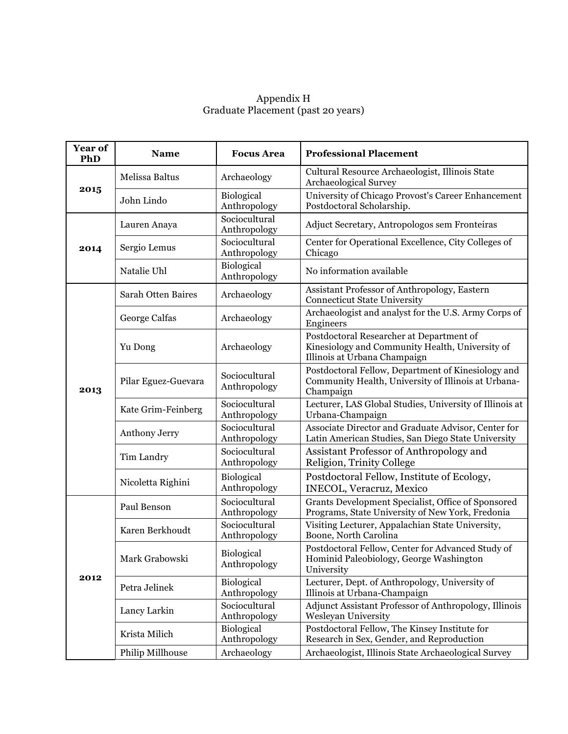## Appendix H Graduate Placement (past 20 years)

| Year of<br>PhD | <b>Name</b>               | <b>Focus Area</b>                 | <b>Professional Placement</b>                                                                                               |
|----------------|---------------------------|-----------------------------------|-----------------------------------------------------------------------------------------------------------------------------|
| 2015           | Melissa Baltus            | Archaeology                       | Cultural Resource Archaeologist, Illinois State<br><b>Archaeological Survey</b>                                             |
|                | John Lindo                | <b>Biological</b><br>Anthropology | University of Chicago Provost's Career Enhancement<br>Postdoctoral Scholarship.                                             |
| 2014           | Lauren Anaya              | Sociocultural<br>Anthropology     | Adjuct Secretary, Antropologos sem Fronteiras                                                                               |
|                | Sergio Lemus              | Sociocultural<br>Anthropology     | Center for Operational Excellence, City Colleges of<br>Chicago                                                              |
|                | Natalie Uhl               | Biological<br>Anthropology        | No information available                                                                                                    |
|                | <b>Sarah Otten Baires</b> | Archaeology                       | Assistant Professor of Anthropology, Eastern<br><b>Connecticut State University</b>                                         |
|                | George Calfas             | Archaeology                       | Archaeologist and analyst for the U.S. Army Corps of<br>Engineers                                                           |
| 2013           | Yu Dong                   | Archaeology                       | Postdoctoral Researcher at Department of<br>Kinesiology and Community Health, University of<br>Illinois at Urbana Champaign |
|                | Pilar Eguez-Guevara       | Sociocultural<br>Anthropology     | Postdoctoral Fellow, Department of Kinesiology and<br>Community Health, University of Illinois at Urbana-<br>Champaign      |
|                | Kate Grim-Feinberg        | Sociocultural<br>Anthropology     | Lecturer, LAS Global Studies, University of Illinois at<br>Urbana-Champaign                                                 |
|                | Anthony Jerry             | Sociocultural<br>Anthropology     | Associate Director and Graduate Advisor, Center for<br>Latin American Studies, San Diego State University                   |
|                | Tim Landry                | Sociocultural<br>Anthropology     | Assistant Professor of Anthropology and<br>Religion, Trinity College                                                        |
|                | Nicoletta Righini         | <b>Biological</b><br>Anthropology | Postdoctoral Fellow, Institute of Ecology,<br><b>INECOL, Veracruz, Mexico</b>                                               |
| 2012           | Paul Benson               | Sociocultural<br>Anthropology     | Grants Development Specialist, Office of Sponsored<br>Programs, State University of New York, Fredonia                      |
|                | Karen Berkhoudt           | Sociocultural<br>Anthropology     | Visiting Lecturer, Appalachian State University,<br>Boone, North Carolina                                                   |
|                | Mark Grabowski            | <b>Biological</b><br>Anthropology | Postdoctoral Fellow, Center for Advanced Study of<br>Hominid Paleobiology, George Washington<br>University                  |
|                | Petra Jelinek             | Biological<br>Anthropology        | Lecturer, Dept. of Anthropology, University of<br>Illinois at Urbana-Champaign                                              |
|                | Lancy Larkin              | Sociocultural<br>Anthropology     | Adjunct Assistant Professor of Anthropology, Illinois<br><b>Wesleyan University</b>                                         |
|                | Krista Milich             | Biological<br>Anthropology        | Postdoctoral Fellow, The Kinsey Institute for<br>Research in Sex, Gender, and Reproduction                                  |
|                | Philip Millhouse          | Archaeology                       | Archaeologist, Illinois State Archaeological Survey                                                                         |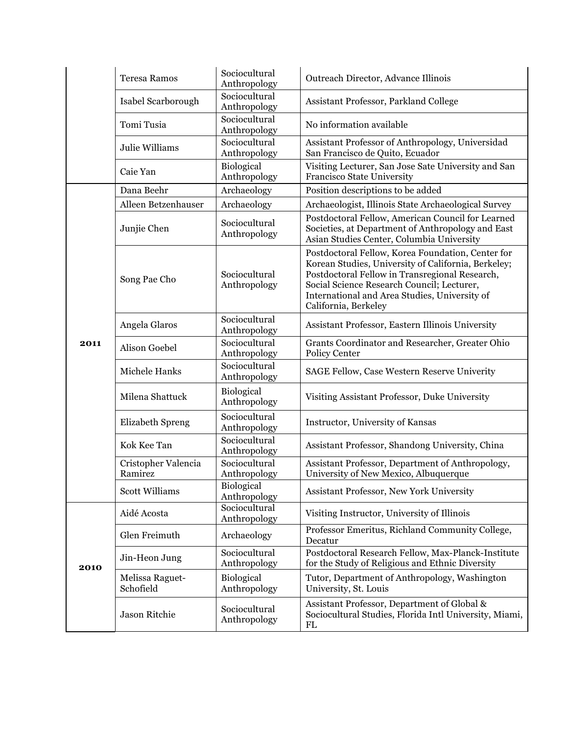|      | <b>Teresa Ramos</b>            | Sociocultural<br>Anthropology | Outreach Director, Advance Illinois                                                                                                                                                                                                                                               |
|------|--------------------------------|-------------------------------|-----------------------------------------------------------------------------------------------------------------------------------------------------------------------------------------------------------------------------------------------------------------------------------|
|      | Isabel Scarborough             | Sociocultural<br>Anthropology | Assistant Professor, Parkland College                                                                                                                                                                                                                                             |
|      | Tomi Tusia                     | Sociocultural<br>Anthropology | No information available                                                                                                                                                                                                                                                          |
|      | Julie Williams                 | Sociocultural<br>Anthropology | Assistant Professor of Anthropology, Universidad<br>San Francisco de Quito, Ecuador                                                                                                                                                                                               |
|      | Caie Yan                       | Biological<br>Anthropology    | Visiting Lecturer, San Jose Sate University and San<br><b>Francisco State University</b>                                                                                                                                                                                          |
|      | Dana Beehr                     | Archaeology                   | Position descriptions to be added                                                                                                                                                                                                                                                 |
|      | Alleen Betzenhauser            | Archaeology                   | Archaeologist, Illinois State Archaeological Survey                                                                                                                                                                                                                               |
|      | Junjie Chen                    | Sociocultural<br>Anthropology | Postdoctoral Fellow, American Council for Learned<br>Societies, at Department of Anthropology and East<br>Asian Studies Center, Columbia University                                                                                                                               |
|      | Song Pae Cho                   | Sociocultural<br>Anthropology | Postdoctoral Fellow, Korea Foundation, Center for<br>Korean Studies, University of California, Berkeley;<br>Postdoctoral Fellow in Transregional Research,<br>Social Science Research Council; Lecturer,<br>International and Area Studies, University of<br>California, Berkeley |
|      | Angela Glaros                  | Sociocultural<br>Anthropology | Assistant Professor, Eastern Illinois University                                                                                                                                                                                                                                  |
| 2011 | Alison Goebel                  | Sociocultural<br>Anthropology | Grants Coordinator and Researcher, Greater Ohio<br><b>Policy Center</b>                                                                                                                                                                                                           |
|      | Michele Hanks                  | Sociocultural<br>Anthropology | SAGE Fellow, Case Western Reserve Univerity                                                                                                                                                                                                                                       |
|      | Milena Shattuck                | Biological<br>Anthropology    | Visiting Assistant Professor, Duke University                                                                                                                                                                                                                                     |
|      | <b>Elizabeth Spreng</b>        | Sociocultural<br>Anthropology | Instructor, University of Kansas                                                                                                                                                                                                                                                  |
|      | Kok Kee Tan                    | Sociocultural<br>Anthropology | Assistant Professor, Shandong University, China                                                                                                                                                                                                                                   |
|      | Cristopher Valencia<br>Ramirez | Sociocultural<br>Anthropology | Assistant Professor, Department of Anthropology,<br>University of New Mexico, Albuquerque                                                                                                                                                                                         |
|      | <b>Scott Williams</b>          | Biological<br>Anthropology    | Assistant Professor, New York University                                                                                                                                                                                                                                          |
|      | Aidé Acosta                    | Sociocultural<br>Anthropology | Visiting Instructor, University of Illinois                                                                                                                                                                                                                                       |
| 2010 | Glen Freimuth                  | Archaeology                   | Professor Emeritus, Richland Community College,<br>Decatur                                                                                                                                                                                                                        |
|      | Jin-Heon Jung                  | Sociocultural<br>Anthropology | Postdoctoral Research Fellow, Max-Planck-Institute<br>for the Study of Religious and Ethnic Diversity                                                                                                                                                                             |
|      | Melissa Raguet-<br>Schofield   | Biological<br>Anthropology    | Tutor, Department of Anthropology, Washington<br>University, St. Louis                                                                                                                                                                                                            |
|      | Jason Ritchie                  | Sociocultural<br>Anthropology | Assistant Professor, Department of Global &<br>Sociocultural Studies, Florida Intl University, Miami,<br>FL                                                                                                                                                                       |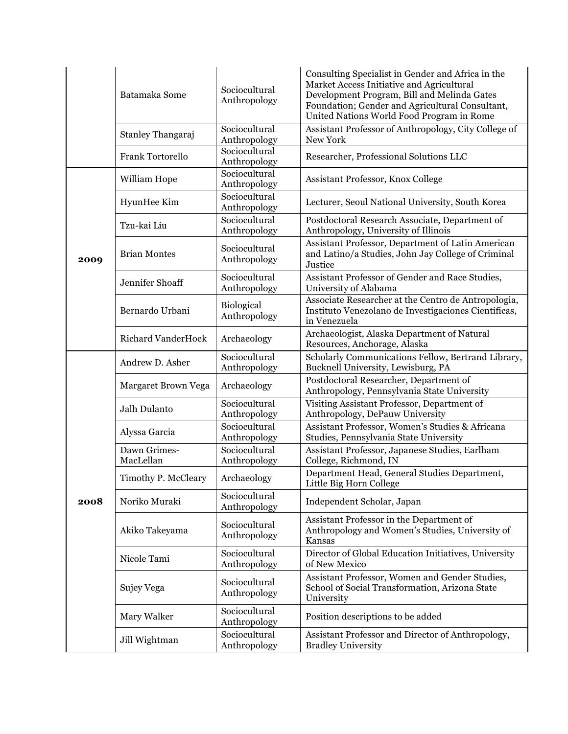|      | Batamaka Some             | Sociocultural<br>Anthropology | Consulting Specialist in Gender and Africa in the<br>Market Access Initiative and Agricultural<br>Development Program, Bill and Melinda Gates<br>Foundation; Gender and Agricultural Consultant,<br>United Nations World Food Program in Rome |
|------|---------------------------|-------------------------------|-----------------------------------------------------------------------------------------------------------------------------------------------------------------------------------------------------------------------------------------------|
|      | Stanley Thangaraj         | Sociocultural<br>Anthropology | Assistant Professor of Anthropology, City College of<br>New York                                                                                                                                                                              |
|      | <b>Frank Tortorello</b>   | Sociocultural<br>Anthropology | Researcher, Professional Solutions LLC                                                                                                                                                                                                        |
|      | William Hope              | Sociocultural<br>Anthropology | Assistant Professor, Knox College                                                                                                                                                                                                             |
|      | HyunHee Kim               | Sociocultural<br>Anthropology | Lecturer, Seoul National University, South Korea                                                                                                                                                                                              |
|      | Tzu-kai Liu               | Sociocultural<br>Anthropology | Postdoctoral Research Associate, Department of<br>Anthropology, University of Illinois                                                                                                                                                        |
| 2009 | <b>Brian Montes</b>       | Sociocultural<br>Anthropology | Assistant Professor, Department of Latin American<br>and Latino/a Studies, John Jay College of Criminal<br>Justice                                                                                                                            |
|      | Jennifer Shoaff           | Sociocultural<br>Anthropology | Assistant Professor of Gender and Race Studies,<br>University of Alabama                                                                                                                                                                      |
|      | Bernardo Urbani           | Biological<br>Anthropology    | Associate Researcher at the Centro de Antropologia,<br>Instituto Venezolano de Investigaciones Científicas,<br>in Venezuela                                                                                                                   |
|      | <b>Richard VanderHoek</b> | Archaeology                   | Archaeologist, Alaska Department of Natural<br>Resources, Anchorage, Alaska                                                                                                                                                                   |
|      | Andrew D. Asher           | Sociocultural<br>Anthropology | Scholarly Communications Fellow, Bertrand Library,<br>Bucknell University, Lewisburg, PA                                                                                                                                                      |
|      | Margaret Brown Vega       | Archaeology                   | Postdoctoral Researcher, Department of<br>Anthropology, Pennsylvania State University                                                                                                                                                         |
|      | Jalh Dulanto              | Sociocultural<br>Anthropology | Visiting Assistant Professor, Department of<br>Anthropology, DePauw University                                                                                                                                                                |
|      | Alyssa Garcia             | Sociocultural<br>Anthropology | Assistant Professor, Women's Studies & Africana<br>Studies, Pennsylvania State University                                                                                                                                                     |
|      | Dawn Grimes-<br>MacLellan | Sociocultural<br>Anthropology | Assistant Professor, Japanese Studies, Earlham<br>College, Richmond, IN                                                                                                                                                                       |
|      | Timothy P. McCleary       | Archaeology                   | Department Head, General Studies Department,<br>Little Big Horn College                                                                                                                                                                       |
| 2008 | Noriko Muraki             | Sociocultural<br>Anthropology | Independent Scholar, Japan                                                                                                                                                                                                                    |
|      | Akiko Takeyama            | Sociocultural<br>Anthropology | Assistant Professor in the Department of<br>Anthropology and Women's Studies, University of<br>Kansas                                                                                                                                         |
|      | Nicole Tami               | Sociocultural<br>Anthropology | Director of Global Education Initiatives, University<br>of New Mexico                                                                                                                                                                         |
|      | Sujey Vega                | Sociocultural<br>Anthropology | Assistant Professor, Women and Gender Studies,<br>School of Social Transformation, Arizona State<br>University                                                                                                                                |
|      | Mary Walker               | Sociocultural<br>Anthropology | Position descriptions to be added                                                                                                                                                                                                             |
|      | Jill Wightman             | Sociocultural<br>Anthropology | Assistant Professor and Director of Anthropology,<br><b>Bradley University</b>                                                                                                                                                                |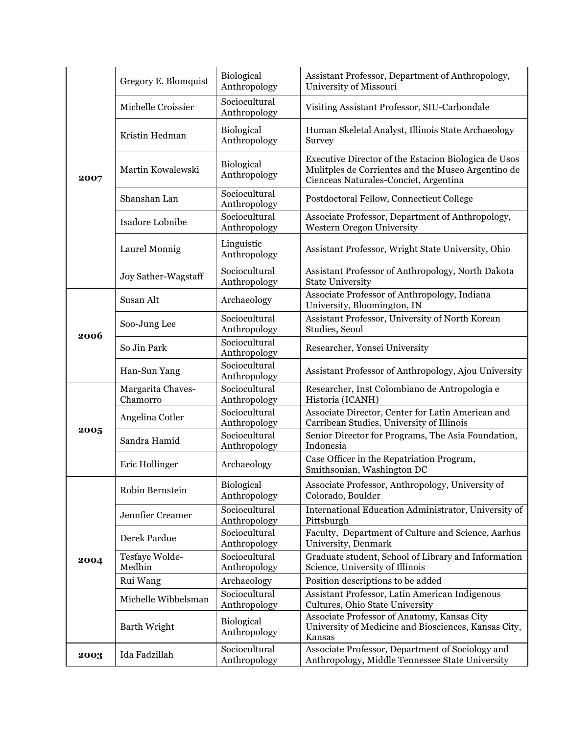| 2007 | Gregory E. Blomquist          | <b>Biological</b><br>Anthropology | Assistant Professor, Department of Anthropology,<br>University of Missouri                                                                          |
|------|-------------------------------|-----------------------------------|-----------------------------------------------------------------------------------------------------------------------------------------------------|
|      | Michelle Croissier            | Sociocultural<br>Anthropology     | Visiting Assistant Professor, SIU-Carbondale                                                                                                        |
|      | Kristin Hedman                | <b>Biological</b><br>Anthropology | Human Skeletal Analyst, Illinois State Archaeology<br>Survey                                                                                        |
|      | Martin Kowalewski             | Biological<br>Anthropology        | Executive Director of the Estacion Biologica de Usos<br>Mulitples de Corrientes and the Museo Argentino de<br>Cienceas Naturales-Conciet, Argentina |
|      | Shanshan Lan                  | Sociocultural<br>Anthropology     | Postdoctoral Fellow, Connecticut College                                                                                                            |
|      | Isadore Lobnibe               | Sociocultural<br>Anthropology     | Associate Professor, Department of Anthropology,<br>Western Oregon University                                                                       |
|      | Laurel Monnig                 | Linguistic<br>Anthropology        | Assistant Professor, Wright State University, Ohio                                                                                                  |
|      | Joy Sather-Wagstaff           | Sociocultural<br>Anthropology     | Assistant Professor of Anthropology, North Dakota<br><b>State University</b>                                                                        |
|      | Susan Alt                     | Archaeology                       | Associate Professor of Anthropology, Indiana<br>University, Bloomington, IN                                                                         |
|      | Soo-Jung Lee                  | Sociocultural<br>Anthropology     | Assistant Professor, University of North Korean<br>Studies, Seoul                                                                                   |
| 2006 | So Jin Park                   | Sociocultural<br>Anthropology     | Researcher, Yonsei University                                                                                                                       |
|      | Han-Sun Yang                  | Sociocultural<br>Anthropology     | Assistant Professor of Anthropology, Ajou University                                                                                                |
|      | Margarita Chaves-<br>Chamorro | Sociocultural<br>Anthropology     | Researcher, Inst Colombiano de Antropologia e<br>Historia (ICANH)                                                                                   |
|      | Angelina Cotler               | Sociocultural<br>Anthropology     | Associate Director, Center for Latin American and<br>Carribean Studies, University of Illinois                                                      |
| 2005 | Sandra Hamid                  | Sociocultural<br>Anthropology     | Senior Director for Programs, The Asia Foundation,<br>Indonesia                                                                                     |
|      | Eric Hollinger                | Archaeology                       | Case Officer in the Repatriation Program,<br>Smithsonian, Washington DC                                                                             |
|      | Robin Bernstein               | Biological<br>Anthropology        | Associate Professor, Anthropology, University of<br>Colorado, Boulder                                                                               |
|      | Jennfier Creamer              | Sociocultural<br>Anthropology     | International Education Administrator, University of<br>Pittsburgh                                                                                  |
| 2004 | Derek Pardue                  | Sociocultural<br>Anthropology     | Faculty, Department of Culture and Science, Aarhus<br>University, Denmark                                                                           |
|      | Tesfaye Wolde-<br>Medhin      | Sociocultural<br>Anthropology     | Graduate student, School of Library and Information<br>Science, University of Illinois                                                              |
|      | Rui Wang                      | Archaeology                       | Position descriptions to be added                                                                                                                   |
|      | Michelle Wibbelsman           | Sociocultural<br>Anthropology     | Assistant Professor, Latin American Indigenous<br>Cultures, Ohio State University                                                                   |
|      | Barth Wright                  | Biological<br>Anthropology        | Associate Professor of Anatomy, Kansas City<br>University of Medicine and Biosciences, Kansas City,<br>Kansas                                       |
| 2003 | Ida Fadzillah                 | Sociocultural<br>Anthropology     | Associate Professor, Department of Sociology and<br>Anthropology, Middle Tennessee State University                                                 |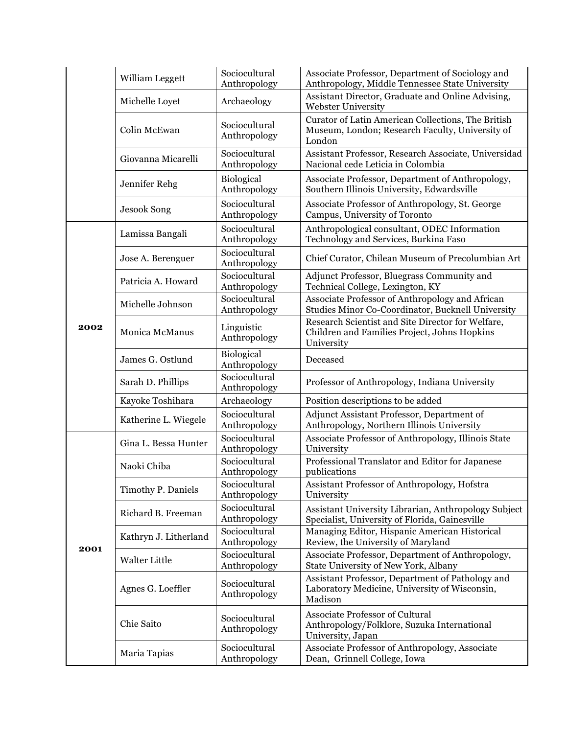|      | William Leggett       | Sociocultural<br>Anthropology     | Associate Professor, Department of Sociology and<br>Anthropology, Middle Tennessee State University             |
|------|-----------------------|-----------------------------------|-----------------------------------------------------------------------------------------------------------------|
|      | Michelle Loyet        | Archaeology                       | Assistant Director, Graduate and Online Advising,<br>Webster University                                         |
|      | Colin McEwan          | Sociocultural<br>Anthropology     | Curator of Latin American Collections, The British<br>Museum, London; Research Faculty, University of<br>London |
|      | Giovanna Micarelli    | Sociocultural<br>Anthropology     | Assistant Professor, Research Associate, Universidad<br>Nacional cede Leticia in Colombia                       |
|      | Jennifer Rehg         | <b>Biological</b><br>Anthropology | Associate Professor, Department of Anthropology,<br>Southern Illinois University, Edwardsville                  |
|      | <b>Jesook Song</b>    | Sociocultural<br>Anthropology     | Associate Professor of Anthropology, St. George<br>Campus, University of Toronto                                |
|      | Lamissa Bangali       | Sociocultural<br>Anthropology     | Anthropological consultant, ODEC Information<br>Technology and Services, Burkina Faso                           |
|      | Jose A. Berenguer     | Sociocultural<br>Anthropology     | Chief Curator, Chilean Museum of Precolumbian Art                                                               |
|      | Patricia A. Howard    | Sociocultural<br>Anthropology     | Adjunct Professor, Bluegrass Community and<br>Technical College, Lexington, KY                                  |
|      | Michelle Johnson      | Sociocultural<br>Anthropology     | Associate Professor of Anthropology and African<br>Studies Minor Co-Coordinator, Bucknell University            |
| 2002 | Monica McManus        | Linguistic<br>Anthropology        | Research Scientist and Site Director for Welfare,<br>Children and Families Project, Johns Hopkins<br>University |
|      | James G. Ostlund      | Biological<br>Anthropology        | Deceased                                                                                                        |
|      | Sarah D. Phillips     | Sociocultural<br>Anthropology     | Professor of Anthropology, Indiana University                                                                   |
|      | Kayoke Toshihara      | Archaeology                       | Position descriptions to be added                                                                               |
|      | Katherine L. Wiegele  | Sociocultural<br>Anthropology     | Adjunct Assistant Professor, Department of<br>Anthropology, Northern Illinois University                        |
|      | Gina L. Bessa Hunter  | Sociocultural<br>Anthropology     | Associate Professor of Anthropology, Illinois State<br>University                                               |
|      | Naoki Chiba           | Sociocultural<br>Anthropology     | Professional Translator and Editor for Japanese<br>publications                                                 |
|      | Timothy P. Daniels    | Sociocultural<br>Anthropology     | Assistant Professor of Anthropology, Hofstra<br>University                                                      |
|      | Richard B. Freeman    | Sociocultural<br>Anthropology     | Assistant University Librarian, Anthropology Subject<br>Specialist, University of Florida, Gainesville          |
|      | Kathryn J. Litherland | Sociocultural<br>Anthropology     | Managing Editor, Hispanic American Historical<br>Review, the University of Maryland                             |
| 2001 | Walter Little         | Sociocultural<br>Anthropology     | Associate Professor, Department of Anthropology,<br>State University of New York, Albany                        |
|      | Agnes G. Loeffler     | Sociocultural<br>Anthropology     | Assistant Professor, Department of Pathology and<br>Laboratory Medicine, University of Wisconsin,<br>Madison    |
|      | Chie Saito            | Sociocultural<br>Anthropology     | <b>Associate Professor of Cultural</b><br>Anthropology/Folklore, Suzuka International<br>University, Japan      |
|      | Maria Tapias          | Sociocultural<br>Anthropology     | Associate Professor of Anthropology, Associate<br>Dean, Grinnell College, Iowa                                  |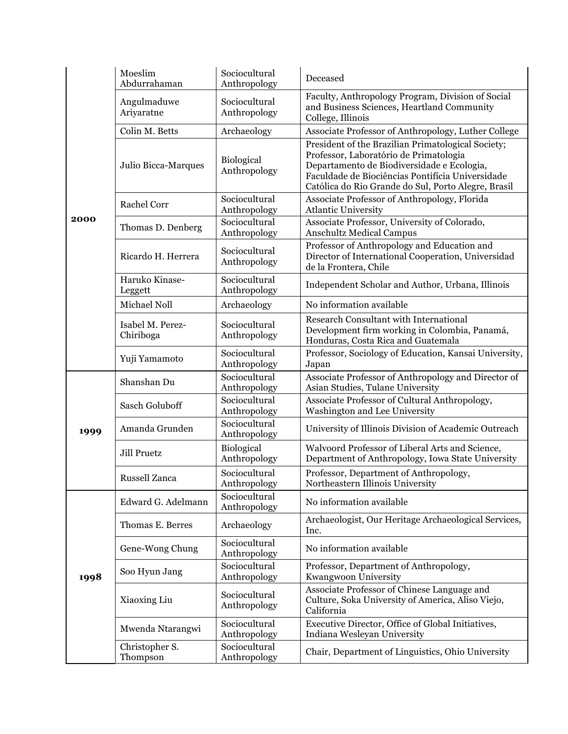|      | Moeslim<br>Abdurrahaman       | Sociocultural<br>Anthropology | Deceased                                                                                                                                                                                                                                              |
|------|-------------------------------|-------------------------------|-------------------------------------------------------------------------------------------------------------------------------------------------------------------------------------------------------------------------------------------------------|
|      | Angulmaduwe<br>Ariyaratne     | Sociocultural<br>Anthropology | Faculty, Anthropology Program, Division of Social<br>and Business Sciences, Heartland Community<br>College, Illinois                                                                                                                                  |
|      | Colin M. Betts                | Archaeology                   | Associate Professor of Anthropology, Luther College                                                                                                                                                                                                   |
|      | Julio Bicca-Marques           | Biological<br>Anthropology    | President of the Brazilian Primatological Society;<br>Professor, Laboratório de Primatologia<br>Departamento de Biodiversidade e Ecologia,<br>Faculdade de Biociências Pontifícia Universidade<br>Católica do Rio Grande do Sul, Porto Alegre, Brasil |
|      | Rachel Corr                   | Sociocultural<br>Anthropology | Associate Professor of Anthropology, Florida<br><b>Atlantic University</b>                                                                                                                                                                            |
| 2000 | Thomas D. Denberg             | Sociocultural<br>Anthropology | Associate Professor, University of Colorado,<br><b>Anschultz Medical Campus</b>                                                                                                                                                                       |
|      | Ricardo H. Herrera            | Sociocultural<br>Anthropology | Professor of Anthropology and Education and<br>Director of International Cooperation, Universidad<br>de la Frontera, Chile                                                                                                                            |
|      | Haruko Kinase-<br>Leggett     | Sociocultural<br>Anthropology | Independent Scholar and Author, Urbana, Illinois                                                                                                                                                                                                      |
|      | Michael Noll                  | Archaeology                   | No information available                                                                                                                                                                                                                              |
|      | Isabel M. Perez-<br>Chiriboga | Sociocultural<br>Anthropology | <b>Research Consultant with International</b><br>Development firm working in Colombia, Panamá,<br>Honduras, Costa Rica and Guatemala                                                                                                                  |
|      | Yuji Yamamoto                 | Sociocultural<br>Anthropology | Professor, Sociology of Education, Kansai University,<br>Japan                                                                                                                                                                                        |
|      | Shanshan Du                   | Sociocultural<br>Anthropology | Associate Professor of Anthropology and Director of<br>Asian Studies, Tulane University                                                                                                                                                               |
|      | <b>Sasch Goluboff</b>         | Sociocultural<br>Anthropology | Associate Professor of Cultural Anthropology,<br>Washington and Lee University                                                                                                                                                                        |
| 1999 | Amanda Grunden                | Sociocultural<br>Anthropology | University of Illinois Division of Academic Outreach                                                                                                                                                                                                  |
|      | <b>Jill Pruetz</b>            | Biological<br>Anthropology    | Walvoord Professor of Liberal Arts and Science,<br>Department of Anthropology, Iowa State University                                                                                                                                                  |
|      | <b>Russell Zanca</b>          | Sociocultural<br>Anthropology | Professor, Department of Anthropology,<br>Northeastern Illinois University                                                                                                                                                                            |
|      | Edward G. Adelmann            | Sociocultural<br>Anthropology | No information available                                                                                                                                                                                                                              |
| 1998 | Thomas E. Berres              | Archaeology                   | Archaeologist, Our Heritage Archaeological Services,<br>Inc.                                                                                                                                                                                          |
|      | Gene-Wong Chung               | Sociocultural<br>Anthropology | No information available                                                                                                                                                                                                                              |
|      | Soo Hyun Jang                 | Sociocultural<br>Anthropology | Professor, Department of Anthropology,<br>Kwangwoon University                                                                                                                                                                                        |
|      | Xiaoxing Liu                  | Sociocultural<br>Anthropology | Associate Professor of Chinese Language and<br>Culture, Soka University of America, Aliso Viejo,<br>California                                                                                                                                        |
|      | Mwenda Ntarangwi              | Sociocultural<br>Anthropology | Executive Director, Office of Global Initiatives,<br>Indiana Wesleyan University                                                                                                                                                                      |
|      | Christopher S.<br>Thompson    | Sociocultural<br>Anthropology | Chair, Department of Linguistics, Ohio University                                                                                                                                                                                                     |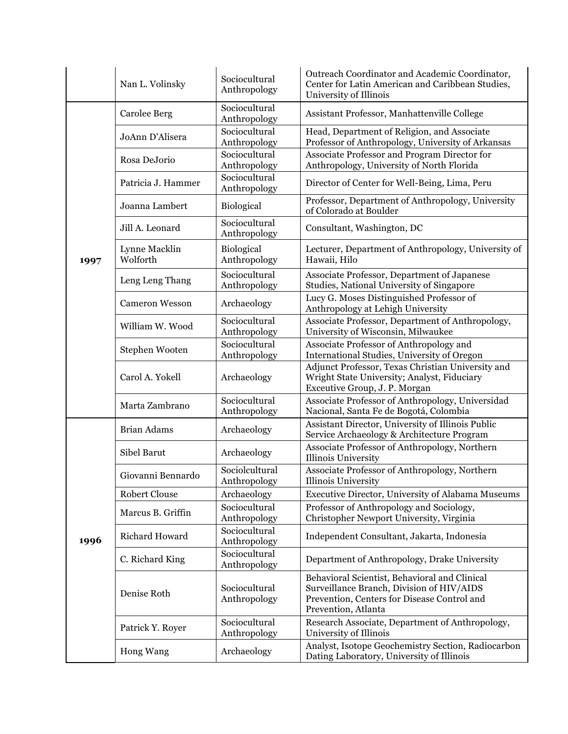|      | Nan L. Volinsky           | Sociocultural<br>Anthropology  | Outreach Coordinator and Academic Coordinator,<br>Center for Latin American and Caribbean Studies,<br>University of Illinois                                     |
|------|---------------------------|--------------------------------|------------------------------------------------------------------------------------------------------------------------------------------------------------------|
|      | <b>Carolee Berg</b>       | Sociocultural<br>Anthropology  | Assistant Professor, Manhattenville College                                                                                                                      |
|      | JoAnn D'Alisera           | Sociocultural<br>Anthropology  | Head, Department of Religion, and Associate<br>Professor of Anthropology, University of Arkansas                                                                 |
|      | Rosa DeJorio              | Sociocultural<br>Anthropology  | Associate Professor and Program Director for<br>Anthropology, University of North Florida                                                                        |
|      | Patricia J. Hammer        | Sociocultural<br>Anthropology  | Director of Center for Well-Being, Lima, Peru                                                                                                                    |
|      | Joanna Lambert            | Biological                     | Professor, Department of Anthropology, University<br>of Colorado at Boulder                                                                                      |
|      | Jill A. Leonard           | Sociocultural<br>Anthropology  | Consultant, Washington, DC                                                                                                                                       |
| 1997 | Lynne Macklin<br>Wolforth | Biological<br>Anthropology     | Lecturer, Department of Anthropology, University of<br>Hawaii, Hilo                                                                                              |
|      | Leng Leng Thang           | Sociocultural<br>Anthropology  | Associate Professor, Department of Japanese<br>Studies, National University of Singapore                                                                         |
|      | <b>Cameron Wesson</b>     | Archaeology                    | Lucy G. Moses Distinguished Professor of<br>Anthropology at Lehigh University                                                                                    |
|      | William W. Wood           | Sociocultural<br>Anthropology  | Associate Professor, Department of Anthropology,<br>University of Wisconsin, Milwaukee                                                                           |
|      | Stephen Wooten            | Sociocultural<br>Anthropology  | Associate Professor of Anthropology and<br>International Studies, University of Oregon                                                                           |
|      | Carol A. Yokell           | Archaeology                    | Adjunct Professor, Texas Christian University and<br>Wright State University; Analyst, Fiduciary<br>Exceutive Group, J. P. Morgan                                |
|      | Marta Zambrano            | Sociocultural<br>Anthropology  | Associate Professor of Anthropology, Universidad<br>Nacional, Santa Fe de Bogotá, Colombia                                                                       |
|      | <b>Brian Adams</b>        | Archaeology                    | Assistant Director, University of Illinois Public<br>Service Archaeology & Architecture Program                                                                  |
|      | Sibel Barut               | Archaeology                    | Associate Professor of Anthropology, Northern<br><b>Illinois University</b>                                                                                      |
|      | Giovanni Bennardo         | Sociolcultural<br>Anthropology | Associate Professor of Anthropology, Northern<br>Illinois University                                                                                             |
|      | <b>Robert Clouse</b>      | Archaeology                    | Executive Director, University of Alabama Museums                                                                                                                |
|      | Marcus B. Griffin         | Sociocultural<br>Anthropology  | Professor of Anthropology and Sociology,<br>Christopher Newport University, Virginia                                                                             |
| 1996 | Richard Howard            | Sociocultural<br>Anthropology  | Independent Consultant, Jakarta, Indonesia                                                                                                                       |
|      | C. Richard King           | Sociocultural<br>Anthropology  | Department of Anthropology, Drake University                                                                                                                     |
|      | Denise Roth               | Sociocultural<br>Anthropology  | Behavioral Scientist, Behavioral and Clinical<br>Surveillance Branch, Division of HIV/AIDS<br>Prevention, Centers for Disease Control and<br>Prevention, Atlanta |
|      | Patrick Y. Royer          | Sociocultural<br>Anthropology  | Research Associate, Department of Anthropology,<br>University of Illinois                                                                                        |
|      | Hong Wang                 | Archaeology                    | Analyst, Isotope Geochemistry Section, Radiocarbon<br>Dating Laboratory, University of Illinois                                                                  |